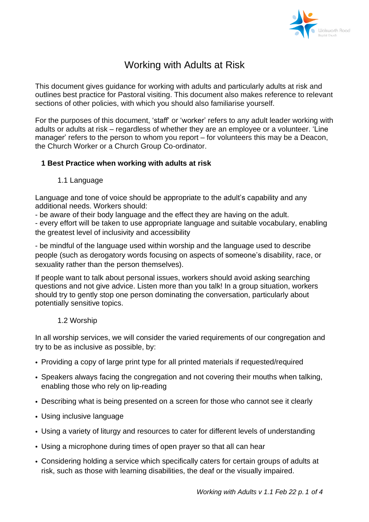

# Working with Adults at Risk

This document gives guidance for working with adults and particularly adults at risk and outlines best practice for Pastoral visiting. This document also makes reference to relevant sections of other policies, with which you should also familiarise yourself.

For the purposes of this document, 'staff' or 'worker' refers to any adult leader working with adults or adults at risk – regardless of whether they are an employee or a volunteer. 'Line manager' refers to the person to whom you report – for volunteers this may be a Deacon, the Church Worker or a Church Group Co-ordinator.

## **1 Best Practice when working with adults at risk**

1.1 Language

Language and tone of voice should be appropriate to the adult's capability and any additional needs. Workers should:

- be aware of their body language and the effect they are having on the adult.

- every effort will be taken to use appropriate language and suitable vocabulary, enabling the greatest level of inclusivity and accessibility

- be mindful of the language used within worship and the language used to describe people (such as derogatory words focusing on aspects of someone's disability, race, or sexuality rather than the person themselves).

If people want to talk about personal issues, workers should avoid asking searching questions and not give advice. Listen more than you talk! In a group situation, workers should try to gently stop one person dominating the conversation, particularly about potentially sensitive topics.

## 1.2 Worship

In all worship services, we will consider the varied requirements of our congregation and try to be as inclusive as possible, by:

- Providing a copy of large print type for all printed materials if requested/required
- Speakers always facing the congregation and not covering their mouths when talking, enabling those who rely on lip-reading
- Describing what is being presented on a screen for those who cannot see it clearly
- Using inclusive language
- Using a variety of liturgy and resources to cater for different levels of understanding
- Using a microphone during times of open prayer so that all can hear
- Considering holding a service which specifically caters for certain groups of adults at risk, such as those with learning disabilities, the deaf or the visually impaired.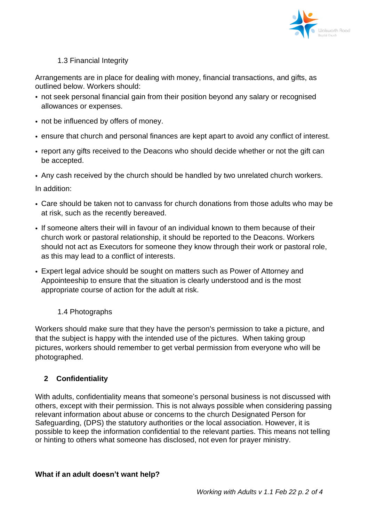

## 1.3 Financial Integrity

Arrangements are in place for dealing with money, financial transactions, and gifts, as outlined below. Workers should:

- not seek personal financial gain from their position beyond any salary or recognised allowances or expenses.
- not be influenced by offers of money.
- ensure that church and personal finances are kept apart to avoid any conflict of interest.
- report any gifts received to the Deacons who should decide whether or not the gift can be accepted.

• Any cash received by the church should be handled by two unrelated church workers. In addition:

- Care should be taken not to canvass for church donations from those adults who may be at risk, such as the recently bereaved.
- If someone alters their will in favour of an individual known to them because of their church work or pastoral relationship, it should be reported to the Deacons. Workers should not act as Executors for someone they know through their work or pastoral role, as this may lead to a conflict of interests.
- Expert legal advice should be sought on matters such as Power of Attorney and Appointeeship to ensure that the situation is clearly understood and is the most appropriate course of action for the adult at risk.

# 1.4 Photographs

Workers should make sure that they have the person's permission to take a picture, and that the subject is happy with the intended use of the pictures. When taking group pictures, workers should remember to get verbal permission from everyone who will be photographed.

# **2 Confidentiality**

With adults, confidentiality means that someone's personal business is not discussed with others, except with their permission. This is not always possible when considering passing relevant information about abuse or concerns to the church Designated Person for Safeguarding, (DPS) the statutory authorities or the local association. However, it is possible to keep the information confidential to the relevant parties. This means not telling or hinting to others what someone has disclosed, not even for prayer ministry.

## **What if an adult doesn't want help?**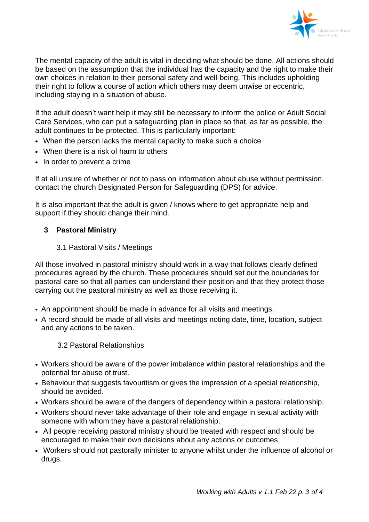

The mental capacity of the adult is vital in deciding what should be done. All actions should be based on the assumption that the individual has the capacity and the right to make their own choices in relation to their personal safety and well-being. This includes upholding their right to follow a course of action which others may deem unwise or eccentric, including staying in a situation of abuse.

If the adult doesn't want help it may still be necessary to inform the police or Adult Social Care Services, who can put a safeguarding plan in place so that, as far as possible, the adult continues to be protected. This is particularly important:

- When the person lacks the mental capacity to make such a choice
- When there is a risk of harm to others
- In order to prevent a crime

If at all unsure of whether or not to pass on information about abuse without permission, contact the church Designated Person for Safeguarding (DPS) for advice.

It is also important that the adult is given / knows where to get appropriate help and support if they should change their mind.

## **3 Pastoral Ministry**

#### 3.1 Pastoral Visits / Meetings

All those involved in pastoral ministry should work in a way that follows clearly defined procedures agreed by the church. These procedures should set out the boundaries for pastoral care so that all parties can understand their position and that they protect those carrying out the pastoral ministry as well as those receiving it.

- An appointment should be made in advance for all visits and meetings.
- A record should be made of all visits and meetings noting date, time, location, subject and any actions to be taken.

## 3.2 Pastoral Relationships

- Workers should be aware of the power imbalance within pastoral relationships and the potential for abuse of trust.
- Behaviour that suggests favouritism or gives the impression of a special relationship, should be avoided.
- Workers should be aware of the dangers of dependency within a pastoral relationship.
- Workers should never take advantage of their role and engage in sexual activity with someone with whom they have a pastoral relationship.
- All people receiving pastoral ministry should be treated with respect and should be encouraged to make their own decisions about any actions or outcomes.
- Workers should not pastorally minister to anyone whilst under the influence of alcohol or drugs.